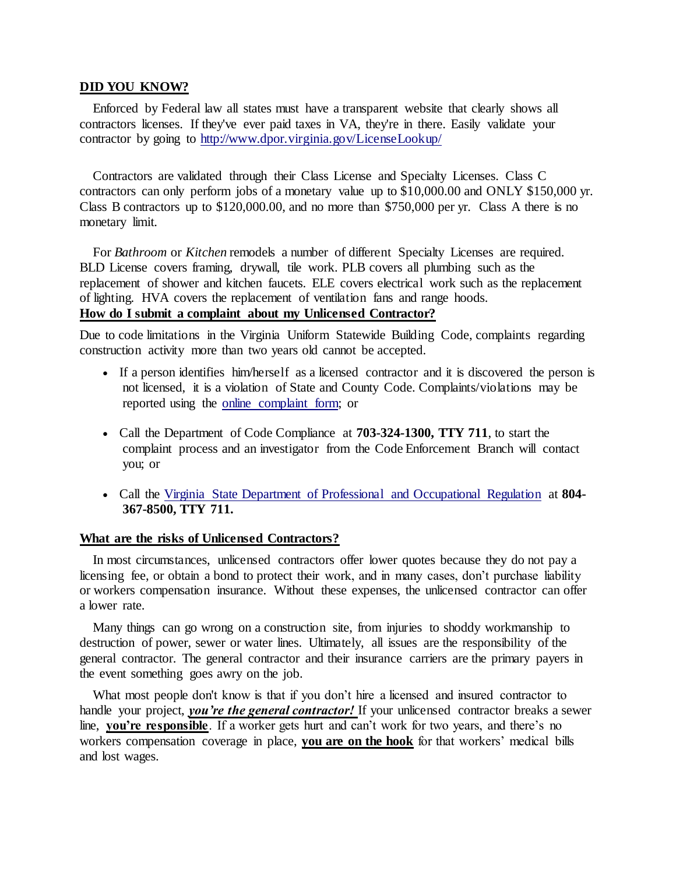## **DID YOU KNOW?**

 Enforced by Federal law all states must have a transparent website that clearly shows all contractors licenses. If they've ever paid taxes in VA, they're in there. Easily validate your contractor by going to<http://www.dpor.virginia.gov/LicenseLookup/>

 Contractors are validated through their Class License and Specialty Licenses. Class C contractors can only perform jobs of a monetary value up to \$10,000.00 and ONLY \$150,000 yr. Class B contractors up to \$120,000.00, and no more than \$750,000 per yr. Class A there is no monetary limit.

For *Bathroom* or *Kitchen* remodels a number of different Specialty Licenses are required. BLD License covers framing, drywall, tile work. PLB covers all plumbing such as the replacement of shower and kitchen faucets. ELE covers electrical work such as the replacement of lighting. HVA covers the replacement of ventilation fans and range hoods. **How do I submit a complaint about my Unlicensed Contractor?**

Due to code limitations in the Virginia Uniform Statewide Building Code, complaints regarding construction activity more than two years old cannot be accepted.

- If a person identifies him/herself as a licensed contractor and it is discovered the person is not licensed, it is a violation of State and County Code. Complaints/violations may be reported using the [online complaint form;](http://www.fairfaxcounty.gov/fido/complaints/comp_submit.aspx) or
- Call the Department of Code Compliance at **703-324-1300, TTY 711**, to start the complaint process and an investigator from the Code Enforcement Branch will contact you; or
- Call the [Virginia State Department of Professional and Occupational Regulation](http://www.dpor.virginia.gov/) at **804- 367-8500, TTY 711.**

## **What are the risks of Unlicensed Contractors?**

 In most circumstances, unlicensed contractors offer lower quotes because they do not pay a licensing fee, or obtain a bond to protect their work, and in many cases, don't purchase liability or workers compensation insurance. Without these expenses, the unlicensed contractor can offer a lower rate.

 Many things can go wrong on a construction site, from injuries to shoddy workmanship to destruction of power, sewer or water lines. Ultimately, all issues are the responsibility of the general contractor. The general contractor and their insurance carriers are the primary payers in the event something goes awry on the job.

What most people don't know is that if you don't hire a licensed and insured contractor to handle your project, *you're the general contractor!* If your unlicensed contractor breaks a sewer line, **you're responsible**. If a worker gets hurt and can't work for two years, and there's no workers compensation coverage in place, **you are on the hook** for that workers' medical bills and lost wages.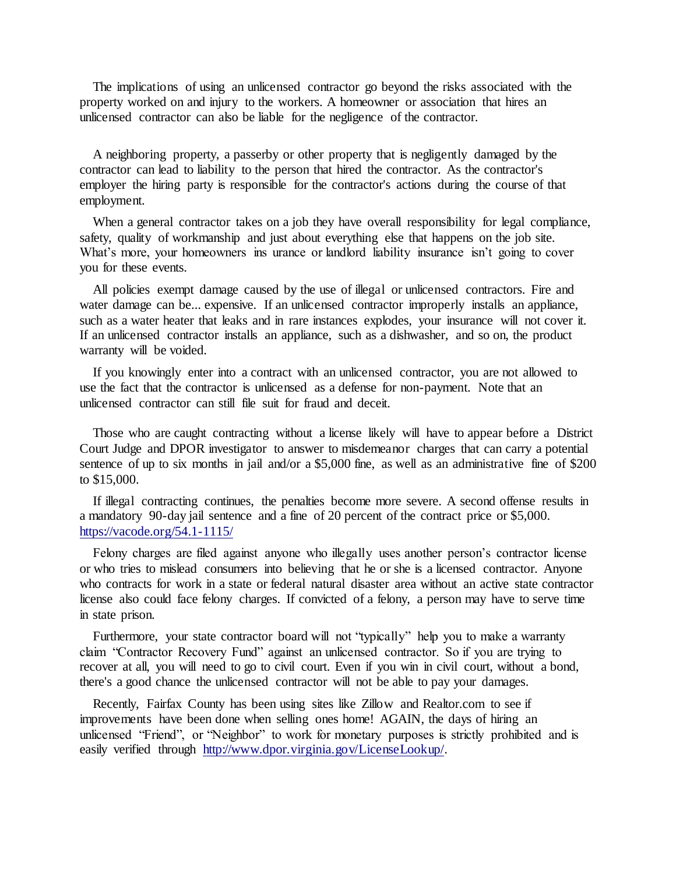The implications of using an unlicensed contractor go beyond the risks associated with the property worked on and injury to the workers. A homeowner or association that hires an unlicensed contractor can also be liable for the negligence of the contractor.

 A neighboring property, a passerby or other property that is negligently damaged by the contractor can lead to liability to the person that hired the contractor. As the contractor's employer the hiring party is responsible for the contractor's actions during the course of that employment.

When a general contractor takes on a job they have overall responsibility for legal compliance, safety, quality of workmanship and just about everything else that happens on the job site. What's more, your homeowners ins urance or landlord liability insurance isn't going to cover you for these events.

 All policies exempt damage caused by the use of illegal or unlicensed contractors. Fire and water damage can be... expensive. If an unlicensed contractor improperly installs an appliance, such as a water heater that leaks and in rare instances explodes, your insurance will not cover it. If an unlicensed contractor installs an appliance, such as a dishwasher, and so on, the product warranty will be voided.

 If you knowingly enter into a contract with an unlicensed contractor, you are not allowed to use the fact that the contractor is unlicensed as a defense for non-payment. Note that an unlicensed contractor can still file suit for fraud and deceit.

 Those who are caught contracting without a license likely will have to appear before a District Court Judge and DPOR investigator to answer to misdemeanor charges that can carry a potential sentence of up to six months in jail and/or a \$5,000 fine, as well as an administrative fine of \$200 to \$15,000.

 If illegal contracting continues, the penalties become more severe. A second offense results in a mandatory 90-day jail sentence and a fine of 20 percent of the contract price or \$5,000. <https://vacode.org/54.1-1115/>

 Felony charges are filed against anyone who illegally uses another person's contractor license or who tries to mislead consumers into believing that he or she is a licensed contractor. Anyone who contracts for work in a state or federal natural disaster area without an active state contractor license also could face felony charges. If convicted of a felony, a person may have to serve time in state prison.

Furthermore, your state contractor board will not "typically" help you to make a warranty claim "Contractor Recovery Fund" against an unlicensed contractor. So if you are trying to recover at all, you will need to go to civil court. Even if you win in civil court, without a bond, there's a good chance the unlicensed contractor will not be able to pay your damages.

 Recently, Fairfax County has been using sites like Zillow and Realtor.com to see if improvements have been done when selling ones home! AGAIN, the days of hiring an unlicensed "Friend", or "Neighbor" to work for monetary purposes is strictly prohibited and is easily verified through [http://www.dpor.virginia.gov/LicenseLookup/.](http://www.dpor.virginia.gov/LicenseLookup/)